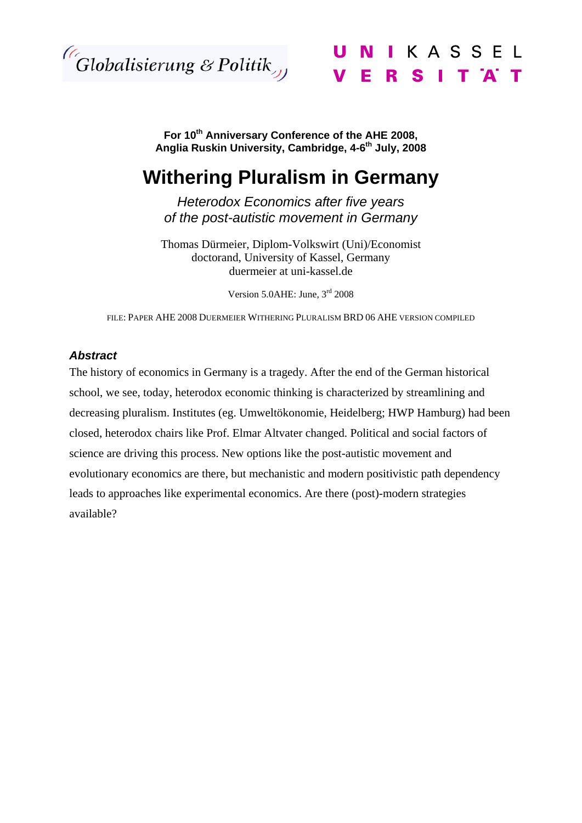

N I K A S S E L ERSITA

**For 10th Anniversary Conference of the AHE 2008,**  Anglia Ruskin University, Cambridge, 4-6<sup>th</sup> July, 2008

# **Withering Pluralism in Germany**

*Heterodox Economics after five years of the post-autistic movement in Germany* 

Thomas Dürmeier, Diplom-Volkswirt (Uni)/Economist doctorand, University of Kassel, Germany duermeier at uni-kassel.de

Version 5.0AHE: June, 3rd 2008

FILE: PAPER AHE 2008 DUERMEIER WITHERING PLURALISM BRD 06 AHE VERSION COMPILED

#### *Abstract*

The history of economics in Germany is a tragedy. After the end of the German historical school, we see, today, heterodox economic thinking is characterized by streamlining and decreasing pluralism. Institutes (eg. Umweltökonomie, Heidelberg; HWP Hamburg) had been closed, heterodox chairs like Prof. Elmar Altvater changed. Political and social factors of science are driving this process. New options like the post-autistic movement and evolutionary economics are there, but mechanistic and modern positivistic path dependency leads to approaches like experimental economics. Are there (post)-modern strategies available?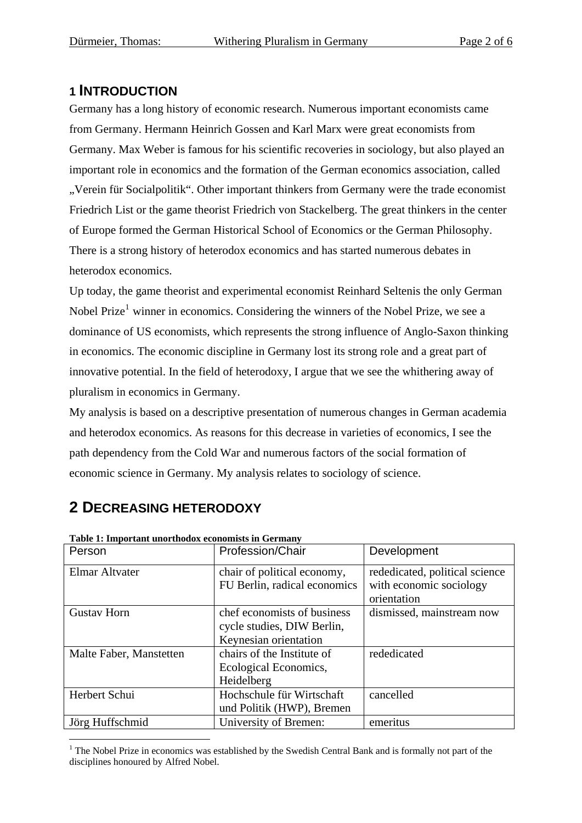## **1 INTRODUCTION**

Germany has a long history of economic research. Numerous important economists came from Germany. Hermann Heinrich Gossen and Karl Marx were great economists from Germany. Max Weber is famous for his scientific recoveries in sociology, but also played an important role in economics and the formation of the German economics association, called "Verein für Socialpolitik". Other important thinkers from Germany were the trade economist Friedrich List or the game theorist Friedrich von Stackelberg. The great thinkers in the center of Europe formed the German Historical School of Economics or the German Philosophy. There is a strong history of heterodox economics and has started numerous debates in heterodox economics.

Up today, the game theorist and experimental economist Reinhard Seltenis the only German Nobel Prize<sup>[1](#page-1-0)</sup> winner in economics. Considering the winners of the Nobel Prize, we see a dominance of US economists, which represents the strong influence of Anglo-Saxon thinking in economics. The economic discipline in Germany lost its strong role and a great part of innovative potential. In the field of heterodoxy, I argue that we see the whithering away of pluralism in economics in Germany.

My analysis is based on a descriptive presentation of numerous changes in German academia and heterodox economics. As reasons for this decrease in varieties of economics, I see the path dependency from the Cold War and numerous factors of the social formation of economic science in Germany. My analysis relates to sociology of science.

| Table 1: Important unorthodox economists in Germany |                              |                                |  |  |
|-----------------------------------------------------|------------------------------|--------------------------------|--|--|
| Person                                              | Profession/Chair             | Development                    |  |  |
| Elmar Altvater                                      | chair of political economy,  | rededicated, political science |  |  |
|                                                     | FU Berlin, radical economics | with economic sociology        |  |  |
|                                                     |                              | orientation                    |  |  |
| <b>Gustav Horn</b>                                  | chef economists of business  | dismissed, mainstream now      |  |  |
|                                                     | cycle studies, DIW Berlin,   |                                |  |  |
|                                                     | Keynesian orientation        |                                |  |  |
| Malte Faber, Manstetten                             | chairs of the Institute of   | rededicated                    |  |  |
|                                                     | Ecological Economics,        |                                |  |  |
|                                                     | Heidelberg                   |                                |  |  |
| Herbert Schui                                       | Hochschule für Wirtschaft    | cancelled                      |  |  |
|                                                     | und Politik (HWP), Bremen    |                                |  |  |
| Jörg Huffschmid                                     | University of Bremen:        | emeritus                       |  |  |

## **2 DECREASING HETERODOXY**

1

**Table 1: Important unorthodox economists in Germany** 

<span id="page-1-0"></span><sup>&</sup>lt;sup>1</sup> The Nobel Prize in economics was established by the Swedish Central Bank and is formally not part of the disciplines honoured by Alfred Nobel.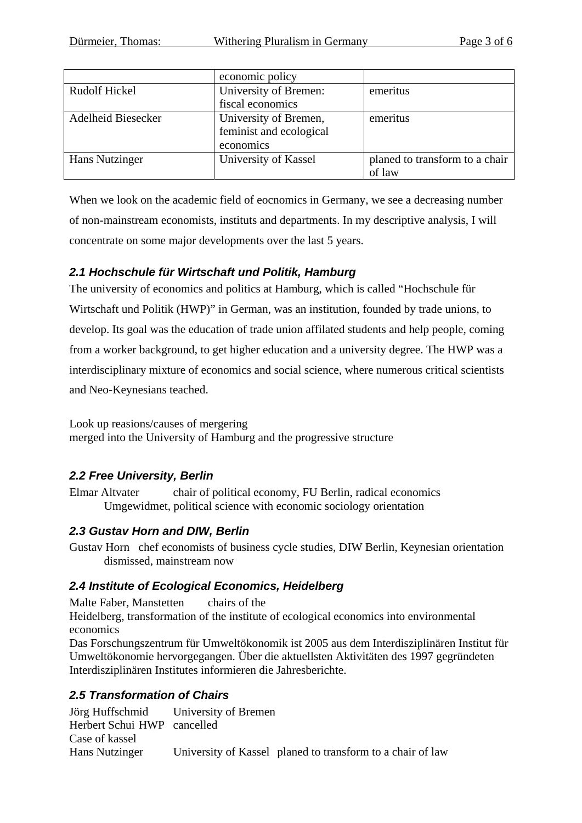|                      | economic policy         |                                |
|----------------------|-------------------------|--------------------------------|
| <b>Rudolf Hickel</b> | University of Bremen:   | emeritus                       |
|                      | fiscal economics        |                                |
| Adelheid Biesecker   | University of Bremen,   | emeritus                       |
|                      | feminist and ecological |                                |
|                      | economics               |                                |
| Hans Nutzinger       | University of Kassel    | planed to transform to a chair |
|                      |                         | of law                         |

When we look on the academic field of eocnomics in Germany, we see a decreasing number of non-mainstream economists, instituts and departments. In my descriptive analysis, I will concentrate on some major developments over the last 5 years.

#### *2.1 Hochschule für Wirtschaft und Politik, Hamburg*

The university of economics and politics at Hamburg, which is called "Hochschule für Wirtschaft und Politik (HWP)" in German, was an institution, founded by trade unions, to develop. Its goal was the education of trade union affilated students and help people, coming from a worker background, to get higher education and a university degree. The HWP was a interdisciplinary mixture of economics and social science, where numerous critical scientists and Neo-Keynesians teached.

Look up reasions/causes of mergering merged into the University of Hamburg and the progressive structure

#### *2.2 Free University, Berlin*

Elmar Altvater chair of political economy, FU Berlin, radical economics Umgewidmet, political science with economic sociology orientation

#### *2.3 Gustav Horn and DIW, Berlin*

Gustav Horn chef economists of business cycle studies, DIW Berlin, Keynesian orientation dismissed, mainstream now

#### *2.4 Institute of Ecological Economics, Heidelberg*

Malte Faber, Manstetten chairs of the Heidelberg, transformation of the institute of ecological economics into environmental economics Das Forschungszentrum für Umweltökonomik ist 2005 aus dem Interdisziplinären Institut für Umweltökonomie hervorgegangen. Über die aktuellsten Aktivitäten des 1997 gegründeten Interdisziplinären Institutes informieren die Jahresberichte.

#### *2.5 Transformation of Chairs*

Jörg Huffschmid University of Bremen Herbert Schui HWP cancelled Case of kassel Hans Nutzinger University of Kassel planed to transform to a chair of law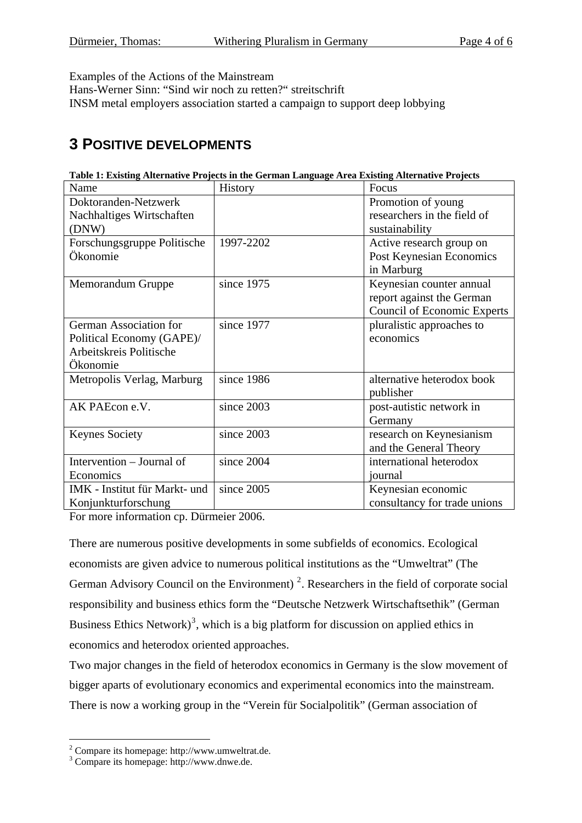Examples of the Actions of the Mainstream

Hans-Werner Sinn: "Sind wir noch zu retten?" streitschrift

INSM metal employers association started a campaign to support deep lobbying

## **3 POSITIVE DEVELOPMENTS**

|                               | rabic 1. Existing Anternative 1 rejects in the Ocriman Danguage Area Existing Anternative 1 rejects |                                    |
|-------------------------------|-----------------------------------------------------------------------------------------------------|------------------------------------|
| Name                          | History                                                                                             | Focus                              |
| Doktoranden-Netzwerk          |                                                                                                     | Promotion of young                 |
| Nachhaltiges Wirtschaften     |                                                                                                     | researchers in the field of        |
| (DNW)                         |                                                                                                     | sustainability                     |
| Forschungsgruppe Politische   | 1997-2202                                                                                           | Active research group on           |
| Ökonomie                      |                                                                                                     | Post Keynesian Economics           |
|                               |                                                                                                     | in Marburg                         |
| Memorandum Gruppe             | since 1975                                                                                          | Keynesian counter annual           |
|                               |                                                                                                     | report against the German          |
|                               |                                                                                                     | <b>Council of Economic Experts</b> |
| German Association for        | since 1977                                                                                          | pluralistic approaches to          |
| Political Economy (GAPE)/     |                                                                                                     | economics                          |
| Arbeitskreis Politische       |                                                                                                     |                                    |
| Ökonomie                      |                                                                                                     |                                    |
| Metropolis Verlag, Marburg    | since 1986                                                                                          | alternative heterodox book         |
|                               |                                                                                                     | publisher                          |
| AK PAEcon e.V.                | since 2003                                                                                          | post-autistic network in           |
|                               |                                                                                                     | Germany                            |
| <b>Keynes Society</b>         | since 2003                                                                                          | research on Keynesianism           |
|                               |                                                                                                     | and the General Theory             |
| Intervention – Journal of     | since 2004                                                                                          | international heterodox            |
| Economics                     |                                                                                                     | journal                            |
| IMK - Institut für Markt- und | since 2005                                                                                          | Keynesian economic                 |
| Konjunkturforschung           |                                                                                                     | consultancy for trade unions       |

**Table 1: Existing Alternative Projects in the German Language Area Existing Alternative Projects** 

For more information cp. Dürmeier 2006.

There are numerous positive developments in some subfields of economics. Ecological economists are given advice to numerous political institutions as the "Umweltrat" (The German Advisory Council on the Environment)<sup>[2](#page-3-0)</sup>. Researchers in the field of corporate social responsibility and business ethics form the "Deutsche Netzwerk Wirtschaftsethik" (German Business Ethics Network)<sup>[3](#page-3-1)</sup>, which is a big platform for discussion on applied ethics in economics and heterodox oriented approaches.

Two major changes in the field of heterodox economics in Germany is the slow movement of bigger aparts of evolutionary economics and experimental economics into the mainstream. There is now a working group in the "Verein für Socialpolitik" (German association of

1

<span id="page-3-0"></span> $2^2$  Compare its homepage: http://www.umweltrat.de.

<span id="page-3-1"></span><sup>3</sup> Compare its homepage: http://www.dnwe.de.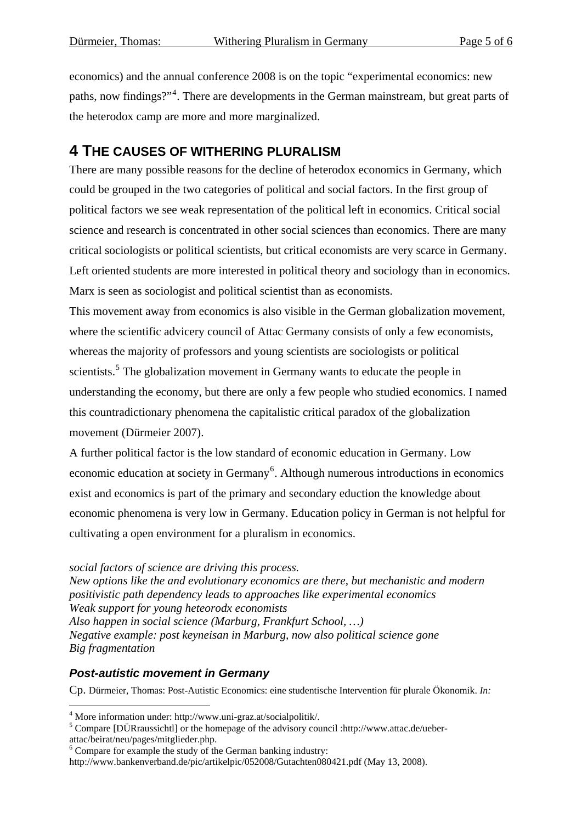economics) and the annual conference 2008 is on the topic "experimental economics: new paths, now findings?"<sup>[4](#page-4-0)</sup>. There are developments in the German mainstream, but great parts of the heterodox camp are more and more marginalized.

### **4 THE CAUSES OF WITHERING PLURALISM**

There are many possible reasons for the decline of heterodox economics in Germany, which could be grouped in the two categories of political and social factors. In the first group of political factors we see weak representation of the political left in economics. Critical social science and research is concentrated in other social sciences than economics. There are many critical sociologists or political scientists, but critical economists are very scarce in Germany. Left oriented students are more interested in political theory and sociology than in economics. Marx is seen as sociologist and political scientist than as economists.

This movement away from economics is also visible in the German globalization movement, where the scientific advicery council of Attac Germany consists of only a few economists, whereas the majority of professors and young scientists are sociologists or political scientists.<sup>[5](#page-4-1)</sup> The globalization movement in Germany wants to educate the people in understanding the economy, but there are only a few people who studied economics. I named this countradictionary phenomena the capitalistic critical paradox of the globalization movement (Dürmeier 2007).

A further political factor is the low standard of economic education in Germany. Low economic education at society in Germany<sup>[6](#page-4-2)</sup>. Although numerous introductions in economics exist and economics is part of the primary and secondary eduction the knowledge about economic phenomena is very low in Germany. Education policy in German is not helpful for cultivating a open environment for a pluralism in economics.

*social factors of science are driving this process. New options like the and evolutionary economics are there, but mechanistic and modern positivistic path dependency leads to approaches like experimental economics Weak support for young heteorodx economists Also happen in social science (Marburg, Frankfurt School, …) Negative example: post keyneisan in Marburg, now also political science gone Big fragmentation* 

#### *Post-autistic movement in Germany*

Cp. Dürmeier, Thomas: Post-Autistic Economics: eine studentische Intervention für plurale Ökonomik. *In:* 

<sup>4&</sup>lt;br>
<sup>4</sup> More information under: http://www.uni-graz.at/socialpolitik/.<br>
<sup>5</sup> Compare [DUP reuseight]] or the homonoge of the educary cour

<span id="page-4-1"></span><span id="page-4-0"></span><sup>&</sup>lt;sup>5</sup> Compare [DÜRraussichtl] or the homepage of the advisory council :http://www.attac.de/ueberattac/beirat/neu/pages/mitglieder.php.

<span id="page-4-2"></span><sup>6</sup> Compare for example the study of the German banking industry:

http://www.bankenverband.de/pic/artikelpic/052008/Gutachten080421.pdf (May 13, 2008).